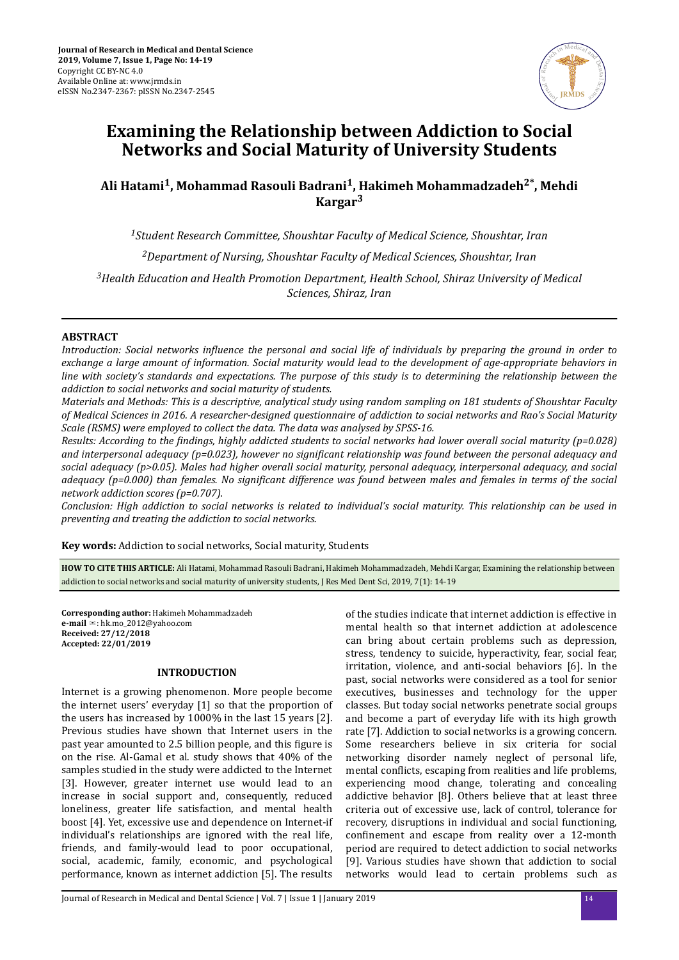

# **Examining the Relationship between Addiction to Social Networks and Social Maturity of University Students**

# **Ali Hatami<sup>1</sup> , Mohammad Rasouli Badrani<sup>1</sup> , Hakimeh Mohammadzadeh2\*, Mehdi Kargar<sup>3</sup>**

*<sup>1</sup>Student Research Committee, Shoushtar Faculty of Medical Science, Shoushtar, Iran*

*<sup>2</sup>Department of Nursing, Shoushtar Faculty of Medical Sciences, Shoushtar, Iran*

*<sup>3</sup>Health Education and Health Promotion Department, Health School, Shiraz University of Medical Sciences, Shiraz, Iran*

# **ABSTRACT**

*Introduction: Social networks influence the personal and social life of individuals by preparing the ground in order to exchange a large amount of information. Social maturity would lead to the development of age-appropriate behaviors in line with society's standards and expectations. The purpose of this study is to determining the relationship between the addiction to social networks and social maturity of students.*

*Materials and Methods: This is a descriptive, analytical study using random sampling on 181 students of Shoushtar Faculty of Medical Sciences in 2016. A researcher-designed questionnaire of addiction to social networks and Rao's Social Maturity Scale (RSMS) were employed to collect the data. The data was analysed by SPSS-16.*

*Results: According to the ϔdsǡ highly addicted students to social networks had lower overall social maturity (p=0.028) and interpersonal adequacy (p=0.023), however no significant relationship was found between the personal adequacy and social adequacy (p>0.05). Males had higher overall social maturity, personal adequacy, interpersonal adequacy, and social adequacy (p=0.000) than females. No significant difference was found between males and females in terms of the social network addiction scores (p=0.707).*

*Conclusion: High addiction to social networks is related to individual's social maturity. This relationship can be used in preventing and treating the addiction to social networks.*

**Key words:** Addiction to social networks, Social maturity, Students

**HOW TO CITE THIS ARTICLE:** Ali Hatami, Mohammad Rasouli Badrani, Hakimeh Mohammadzadeh, Mehdi Kargar, Examining the relationship between addiction to social networks and social maturity of university students, J Res Med Dent Sci, 2019, 7(1): 14-19

**Corresponding author:** Hakimeh Mohammadzadeh **e-mail** ✉: hk.mo\_2012@yahoo.com **Received: 27/12/2018 Accepted: 22/01/2019**

#### **INTRODUCTION**

Internet is a growing phenomenon. More people become the internet users' everyday [1] so that the proportion of the users has increased by 1000% in the last 15 years [2]. Previous studies have shown that Internet users in the past year amounted to 2.5 billion people, and this figure is on the rise. Al-Gamal et al. study shows that 40% of the samples studied in the study were addicted to the Internet [3]. However, greater internet use would lead to an increase in social support and, consequently, reduced loneliness, greater life satisfaction, and mental health boost [4]. Yet, excessive use and dependence on Internet-if individual's relationships are ignored with the real life, friends, and family-would lead to poor occupational, social, academic, family, economic, and psychological performance, known as internet addiction [5]. The results

of the studies indicate that internet addiction is effective in mental health so that internet addiction at adolescence can bring about certain problems such as depression, stress, tendency to suicide, hyperactivity, fear, social fear, irritation, violence, and anti-social behaviors [6]. In the past, social networks were considered as a tool for senior executives, businesses and technology for the upper classes. But today social networks penetrate social groups and become a part of everyday life with its high growth rate [7]. Addiction to social networks is a growing concern. Some researchers believe in six criteria for social networking disorder namely neglect of personal life, mental conflicts, escaping from realities and life problems, experiencing mood change, tolerating and concealing addictive behavior [8]. Others believe that at least three criteria out of excessive use, lack of control, tolerance for recovery, disruptions in individual and social functioning, confinement and escape from reality over a 12-month period are required to detect addiction to social networks [9]. Various studies have shown that addiction to social networks would lead to certain problems such as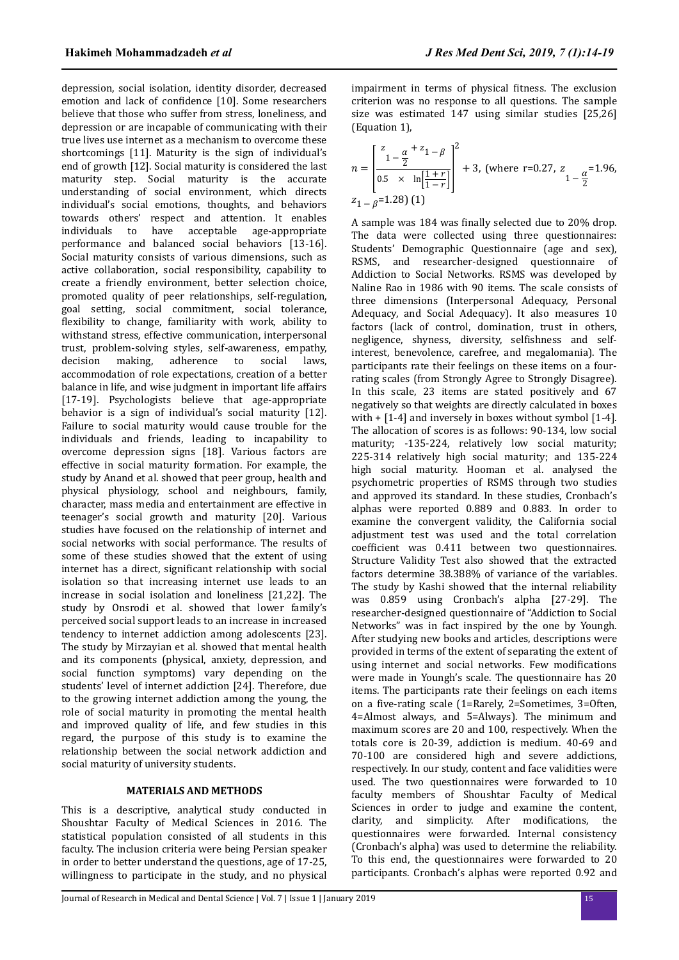depression, social isolation, identity disorder, decreased emotion and lack of confidence [10]. Some researchers believe that those who suffer from stress, loneliness, and depression or are incapable of communicating with their true lives use internet as a mechanism to overcome these shortcomings [11]. Maturity is the sign of individual's end of growth [12]. Social maturity is considered the last maturity step. Social maturity is the accurate understanding of social environment, which directs individual's social emotions, thoughts, and behaviors towards others' respect and attention. It enables individuals to have acceptable age-appropriate performance and balanced social behaviors [13-16]. Social maturity consists of various dimensions, such as active collaboration, social responsibility, capability to create a friendly environment, better selection choice, promoted quality of peer relationships, self-regulation, goal setting, social commitment, social tolerance, flexibility to change, familiarity with work, ability to withstand stress, effective communication, interpersonal trust, problem-solving styles, self-awareness, empathy, decision making, adherence to social laws, accommodation of role expectations, creation of a better balance in life, and wise judgment in important life affairs [17-19]. Psychologists believe that age-appropriate behavior is a sign of individual's social maturity [12]. Failure to social maturity would cause trouble for the individuals and friends, leading to incapability to overcome depression signs [18]. Various factors are effective in social maturity formation. For example, the study by Anand et al. showed that peer group, health and physical physiology, school and neighbours, family, character, mass media and entertainment are effective in teenager's social growth and maturity [20]. Various studies have focused on the relationship of internet and social networks with social performance. The results of some of these studies showed that the extent of using internet has a direct, significant relationship with social isolation so that increasing internet use leads to an increase in social isolation and loneliness [21,22]. The study by Onsrodi et al. showed that lower family's perceived social support leads to an increase in increased tendency to internet addiction among adolescents [23]. The study by Mirzayian et al. showed that mental health and its components (physical, anxiety, depression, and social function symptoms) vary depending on the students' level of internet addiction [24]. Therefore, due to the growing internet addiction among the young, the role of social maturity in promoting the mental health and improved quality of life, and few studies in this regard, the purpose of this study is to examine the relationship between the social network addiction and social maturity of university students.

## **MATERIALS AND METHODS**

This is a descriptive, analytical study conducted in Shoushtar Faculty of Medical Sciences in 2016. The statistical population consisted of all students in this faculty. The inclusion criteria were being Persian speaker in order to better understand the questions, age of 17-25, willingness to participate in the study, and no physical impairment in terms of physical fitness. The exclusion criterion was no response to all questions. The sample size was estimated 147 using similar studies [25,26] (Equation 1),

$$
n = \left[\frac{\frac{z}{1 - \frac{\alpha}{2}} + z_1 - \beta}{0.5 \times \ln\left[\frac{1 + r}{1 - r}\right]} \right]^2 + 3, \text{ (where r=0.27, } z_{1 - \frac{\alpha}{2}} = 1.96, \quad z_{1 - \beta} = 1.28\text{)}\tag{1}
$$

*J Res Med Dent Sci, 2019, 7 (1):14-19*<br>
mpairment in terms of physical fitness. The exclusion<br>
rietion was no response to all questions. The sample<br>
rietion was no response to all questions. The sample<br>
lice was estima A sample was 184 was finally selected due to 20% drop. The data were collected using three questionnaires: Students' Demographic Questionnaire (age and sex), RSMS, and researcher-designed questionnaire of Addiction to Social Networks. RSMS was developed by Naline Rao in 1986 with 90 items. The scale consists of three dimensions (Interpersonal Adequacy, Personal Adequacy, and Social Adequacy). It also measures 10 factors (lack of control, domination, trust in others, negligence, shyness, diversity, selfishness and selfinterest, benevolence, carefree, and megalomania). The participants rate their feelings on these items on a fourrating scales (from Strongly Agree to Strongly Disagree). In this scale, 23 items are stated positively and 67 negatively so that weights are directly calculated in boxes with  $+$  [1-4] and inversely in boxes without symbol [1-4]. The allocation of scores is as follows: 90-134, low social maturity; -135-224, relatively low social maturity; 225-314 relatively high social maturity; and 135-224 high social maturity. Hooman et al. analysed the psychometric properties of RSMS through two studies and approved its standard. In these studies, Cronbach's alphas were reported 0.889 and 0.883. In order to examine the convergent validity, the California social adjustment test was used and the total correlation coefficient was 0.411 between two questionnaires. Structure Validity Test also showed that the extracted factors determine 38.388% of variance of the variables. The study by Kashi showed that the internal reliability was 0.859 using Cronbach's alpha [27-29]. The researcher-designed questionnaire of "Addiction to Social Networks" was in fact inspired by the one by Youngh. After studying new books and articles, descriptions were provided in terms of the extent of separating the extent of using internet and social networks. Few modifications were made in Youngh's scale. The questionnaire has 20 items. The participants rate their feelings on each items on a five-rating scale (1=Rarely, 2=Sometimes, 3=Often, 4=Almost always, and 5=Always). The minimum and maximum scores are 20 and 100, respectively. When the totals core is 20-39, addiction is medium. 40-69 and 70-100 are considered high and severe addictions, respectively. In our study, content and face validities were used. The two questionnaires were forwarded to 10 faculty members of Shoushtar Faculty of Medical Sciences in order to judge and examine the content, clarity, and simplicity. After modifications, the questionnaires were forwarded. Internal consistency (Cronbach's alpha) was used to determine the reliability. To this end, the questionnaires were forwarded to 20 participants. Cronbach's alphas were reported 0.92 and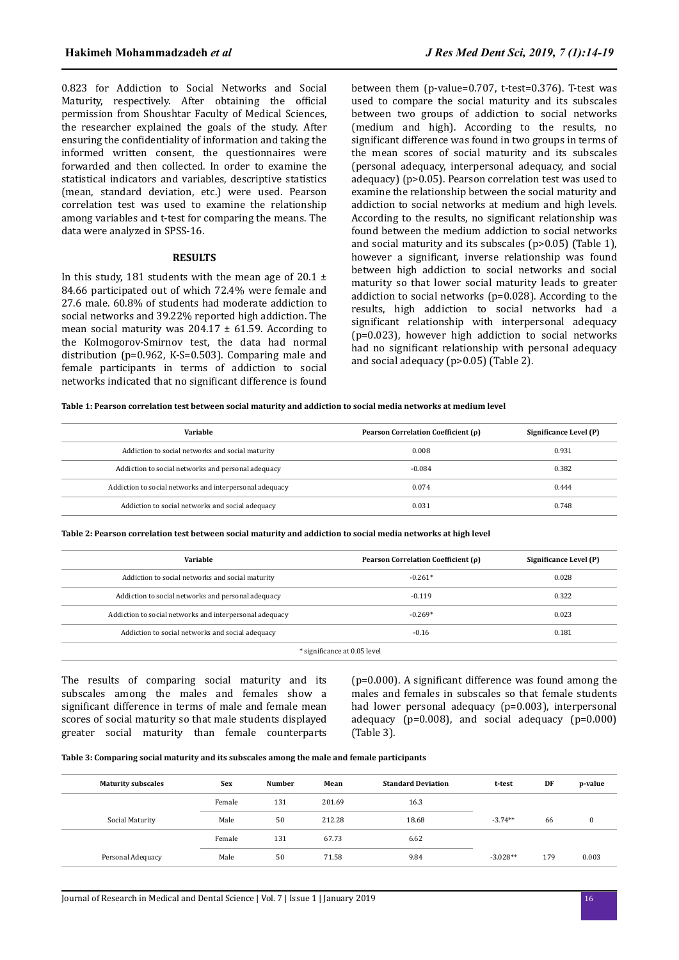0.823 for Addiction to Social Networks and Social Maturity, respectively. After obtaining the official permission from Shoushtar Faculty of Medical Sciences, the researcher explained the goals of the study. After ensuring the confidentiality of information and taking the informed written consent, the questionnaires were forwarded and then collected. In order to examine the statistical indicators and variables, descriptive statistics (mean, standard deviation, etc.) were used. Pearson correlation test was used to examine the relationship among variables and t-test for comparing the means. The data were analyzed in SPSS-16.

#### **RESULTS**

In this study, 181 students with the mean age of 20.1  $\pm$ 84.66 participated out of which 72.4% were female and 27.6 male. 60.8% of students had moderate addiction to social networks and 39.22% reported high addiction. The mean social maturity was  $204.17 \pm 61.59$ . According to the Kolmogorov-Smirnov test, the data had normal distribution (p=0.962, K-S=0.503). Comparing male and female participants in terms of addiction to social networks indicated that no significant difference is found between them (p-value=0.707, t-test=0.376). T-test was used to compare the social maturity and its subscales between two groups of addiction to social networks (medium and high). According to the results, no significant difference was found in two groups in terms of the mean scores of social maturity and its subscales (personal adequacy, interpersonal adequacy, and social adequacy) (p>0.05). Pearson correlation test was used to examine the relationship between the social maturity and addiction to social networks at medium and high levels. According to the results, no significant relationship was found between the medium addiction to social networks and social maturity and its subscales (p>0.05) (Table 1), however a significant, inverse relationship was found between high addiction to social networks and social maturity so that lower social maturity leads to greater addiction to social networks (p=0.028). According to the results, high addiction to social networks had a significant relationship with interpersonal adequacy (p=0.023), however high addiction to social networks had no significant relationship with personal adequacy and social adequacy (p>0.05) (Table 2).

**Table 1: Pearson correlation test between social maturity and addiction to social media networks at medium level**

| Variable                                                | Pearson Correlation Coefficient (p) | Significance Level (P) |
|---------------------------------------------------------|-------------------------------------|------------------------|
| Addiction to social networks and social maturity        | 0.008                               | 0.931                  |
| Addiction to social networks and personal adequacy      | $-0.084$                            | 0.382                  |
| Addiction to social networks and interpersonal adequacy | 0.074                               | 0.444                  |
| Addiction to social networks and social adequacy        | 0.031                               | 0.748                  |

**Table 2: Pearson correlation test between social maturity and addiction to social media networks at high level**

| Variable                                                | Pearson Correlation Coefficient (ρ) | Significance Level (P) |  |  |  |
|---------------------------------------------------------|-------------------------------------|------------------------|--|--|--|
| Addiction to social networks and social maturity        | $-0.261*$                           | 0.028                  |  |  |  |
| Addiction to social networks and personal adequacy      | $-0.119$                            | 0.322                  |  |  |  |
| Addiction to social networks and interpersonal adequacy | $-0.269*$                           | 0.023                  |  |  |  |
| Addiction to social networks and social adequacy        | $-0.16$                             | 0.181                  |  |  |  |
| * significance at 0.05 level                            |                                     |                        |  |  |  |

The results of comparing social maturity and its subscales among the males and females show a significant difference in terms of male and female mean scores of social maturity so that male students displayed greater social maturity than female counterparts ( $p=0.000$ ). A significant difference was found among the males and females in subscales so that female students had lower personal adequacy (p=0.003), interpersonal adequacy (p=0.008), and social adequacy (p=0.000) (Table 3).

#### **Table 3: Comparing social maturity and its subscales among the male and female participants**

| <b>Maturity subscales</b> | <b>Sex</b> | <b>Number</b> | Mean   | <b>Standard Deviation</b> | t-test     | DF  | p-value |
|---------------------------|------------|---------------|--------|---------------------------|------------|-----|---------|
|                           | Female     | 131           | 201.69 | 16.3                      |            |     |         |
| Social Maturity           | Male       | 50            | 212.28 | 18.68                     | $-3.74**$  | 66  |         |
|                           | Female     | 131           | 67.73  | 6.62                      |            |     |         |
| Personal Adequacy         | Male       | 50            | 71.58  | 9.84                      | $-3.028**$ | 179 | 0.003   |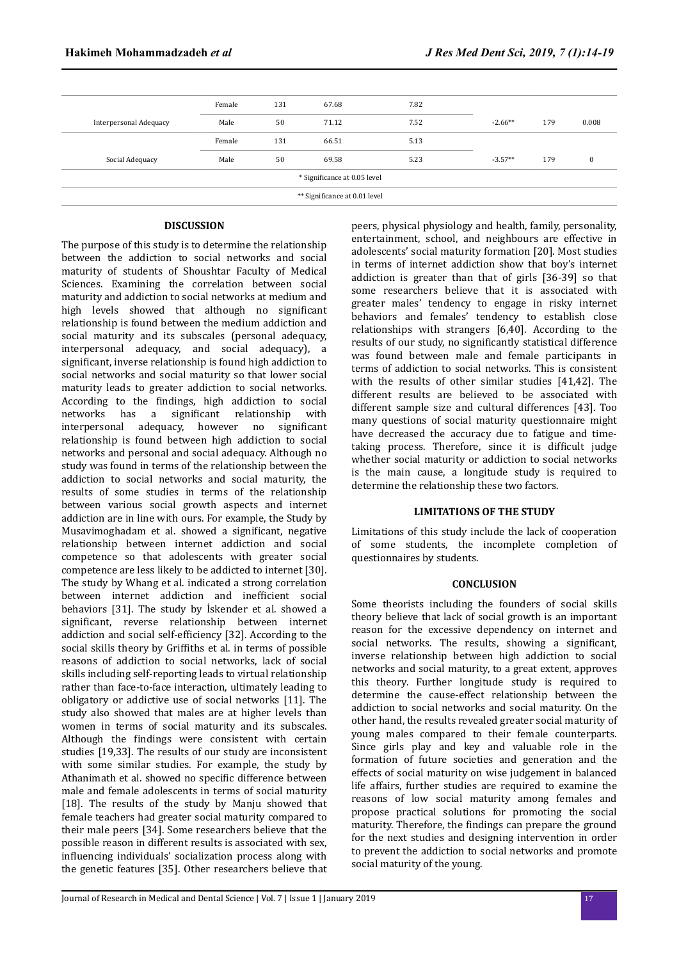| Female                        | 131 | 67.68 | 7.82 |           |     |          |  |
|-------------------------------|-----|-------|------|-----------|-----|----------|--|
| Male                          | 50  | 71.12 | 7.52 | $-2.66**$ | 179 | 0.008    |  |
| Female                        | 131 | 66.51 | 5.13 |           |     |          |  |
| Male                          | 50  | 69.58 | 5.23 | $-3.57**$ | 179 | $\bf{0}$ |  |
| * Significance at 0.05 level  |     |       |      |           |     |          |  |
| ** Significance at 0.01 level |     |       |      |           |     |          |  |
|                               |     |       |      |           |     |          |  |

#### **DISCUSSION**

The purpose of this study is to determine the relationship between the addiction to social networks and social maturity of students of Shoushtar Faculty of Medical Sciences. Examining the correlation between social maturity and addiction to social networks at medium and high levels showed that although no significant relationship is found between the medium addiction and social maturity and its subscales (personal adequacy, interpersonal adequacy, and social adequacy), a significant, inverse relationship is found high addiction to social networks and social maturity so that lower social maturity leads to greater addiction to social networks. According to the findings, high addiction to social networks has a significant relationship with interpersonal adequacy, however no significant relationship is found between high addiction to social networks and personal and social adequacy. Although no study was found in terms of the relationship between the addiction to social networks and social maturity, the results of some studies in terms of the relationship between various social growth aspects and internet addiction are in line with ours. For example, the Study by Musavimoghadam et al. showed a significant, negative relationship between internet addiction and social competence so that adolescents with greater social competence are less likely to be addicted to internet [30]. The study by Whang et al. indicated a strong correlation between internet addiction and inefficient social behaviors [31]. The study by Iskender et al. showed a significant, reverse relationship between internet addiction and social self-efficiency [32]. According to the social skills theory by Griffiths et al. in terms of possible reasons of addiction to social networks, lack of social skills including self-reporting leads to virtual relationship rather than face-to-face interaction, ultimately leading to obligatory or addictive use of social networks [11]. The study also showed that males are at higher levels than women in terms of social maturity and its subscales. Although the findings were consistent with certain studies [19,33]. The results of our study are inconsistent with some similar studies. For example, the study by Athanimath et al. showed no specific difference between male and female adolescents in terms of social maturity [18]. The results of the study by Manju showed that female teachers had greater social maturity compared to their male peers [34]. Some researchers believe that the possible reason in different results is associated with sex, influencing individuals' socialization process along with the genetic features [35]. Other researchers believe that

peers, physical physiology and health, family, personality, entertainment, school, and neighbours are effective in adolescents' social maturity formation [20]. Most studies in terms of internet addiction show that boy's internet addiction is greater than that of girls [36-39] so that some researchers believe that it is associated with greater males' tendency to engage in risky internet behaviors and females' tendency to establish close relationships with strangers [6,40]. According to the results of our study, no significantly statistical difference was found between male and female participants in terms of addiction to social networks. This is consistent with the results of other similar studies [41,42]. The different results are believed to be associated with different sample size and cultural differences [43]. Too many questions of social maturity questionnaire might have decreased the accuracy due to fatigue and timetaking process. Therefore, since it is difficult judge whether social maturity or addiction to social networks is the main cause, a longitude study is required to determine the relationship these two factors.

#### **LIMITATIONS OF THE STUDY**

Limitations of this study include the lack of cooperation of some students, the incomplete completion of questionnaires by students.

#### **CONCLUSION**

Some theorists including the founders of social skills theory believe that lack of social growth is an important reason for the excessive dependency on internet and social networks. The results, showing a significant, inverse relationship between high addiction to social networks and social maturity, to a great extent, approves this theory. Further longitude study is required to determine the cause-effect relationship between the addiction to social networks and social maturity. On the other hand, the results revealed greater social maturity of young males compared to their female counterparts. Since girls play and key and valuable role in the formation of future societies and generation and the effects of social maturity on wise judgement in balanced life affairs, further studies are required to examine the reasons of low social maturity among females and propose practical solutions for promoting the social maturity. Therefore, the findings can prepare the ground for the next studies and designing intervention in order to prevent the addiction to social networks and promote social maturity of the young.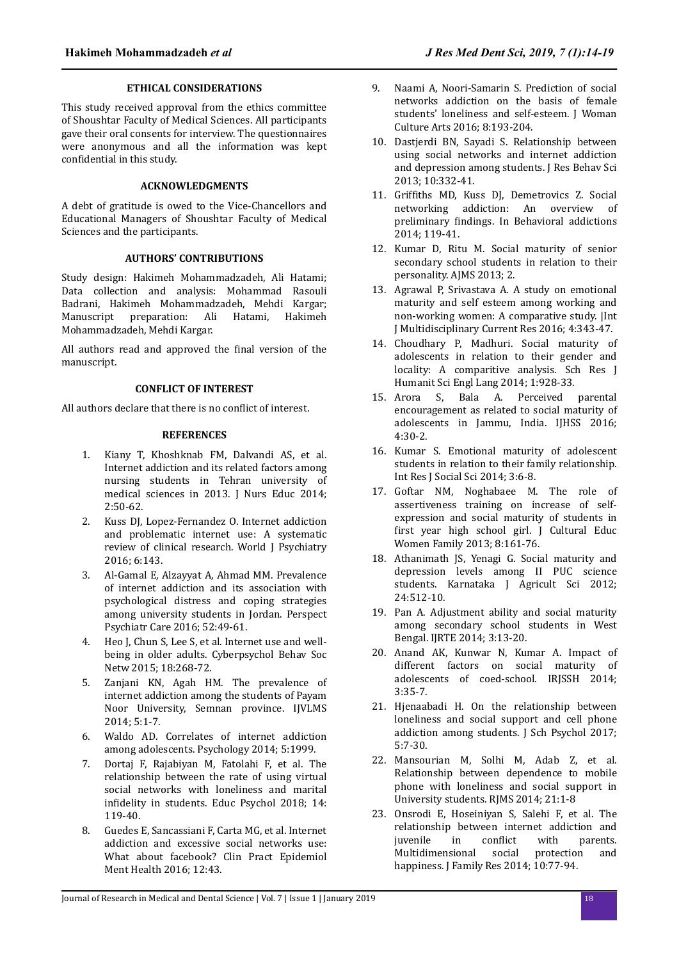#### **ETHICAL CONSIDERATIONS**

This study received approval from the ethics committee of Shoushtar Faculty of Medical Sciences. All participants gave their oral consents for interview. The questionnaires were anonymous and all the information was kept confidential in this study.

# **ACKNOWLEDGMENTS**

A debt of gratitude is owed to the Vice-Chancellors and Educational Managers of Shoushtar Faculty of Medical Sciences and the participants.

# **AUTHORS' CONTRIBUTIONS**

Study design: Hakimeh Mohammadzadeh, Ali Hatami; Data collection and analysis: Mohammad Rasouli Badrani, Hakimeh Mohammadzadeh, Mehdi Kargar; Manuscript preparation: Ali Hatami, Hakimeh Mohammadzadeh, Mehdi Kargar.

All authors read and approved the final version of the manuscript.

# **CONFLICT OF INTEREST**

All authors declare that there is no conflict of interest.

### **REFERENCES**

- 1. Kiany T, Khoshknab FM, Dalvandi AS, et al. Internet addiction and its related factors among nursing students in Tehran university of medical sciences in 2013. J Nurs Educ 2014; 2:50-62.
- 2. Kuss DJ, Lopez-Fernandez O. Internet addiction and problematic internet use: A systematic review of clinical research. World J Psychiatry 2016; 6:143.
- 3. Al-Gamal E, Alzayyat A, Ahmad MM. Prevalence of internet addiction and its association with psychological distress and coping strategies among university students in Jordan. Perspect Psychiatr Care 2016; 52:49-61.
- 4. Heo J, Chun S, Lee S, et al. Internet use and wellbeing in older adults. Cyberpsychol Behav Soc Netw 2015; 18:268-72.
- 5. Zanjani KN, Agah HM. The prevalence of internet addiction among the students of Payam Noor University, Semnan province. IJVLMS 2014; 5:1-7.
- 6. Waldo AD. Correlates of internet addiction among adolescents. Psychology 2014; 5:1999.
- 7. Dortaj F, Rajabiyan M, Fatolahi F, et al. The relationship between the rate of using virtual social networks with loneliness and marital infidelity in students. Educ Psychol 2018; 14: 119-40.
- 8. Guedes E, Sancassiani F, Carta MG, et al. Internet addiction and excessive social networks use: What about facebook? Clin Pract Epidemiol Ment Health 2016; 12:43.
- 9. Naami A, Noori-Samarin S. Prediction of social networks addiction on the basis of female students' loneliness and self-esteem. J Woman Culture Arts 2016; 8:193-204.
- 10. Dastjerdi BN, Sayadi S. Relationship between using social networks and internet addiction and depression among students. J Res Behav Sci 2013; 10:332-41.
- 11. Griffiths MD, Kuss DJ, Demetrovics Z. Social networking addiction: An overview of preliminary findings. In Behavioral addictions 2014; 119-41.
- 12. Kumar D, Ritu M. Social maturity of senior secondary school students in relation to their personality. AJMS 2013; 2.
- 13. Agrawal P, Srivastava A. A study on emotional maturity and self esteem among working and non-working women: A comparative study. |Int J Multidisciplinary Current Res 2016; 4:343-47.
- 14. Choudhary P, Madhuri. Social maturity of adolescents in relation to their gender and locality: A comparitive analysis. Sch Res J Humanit Sci Engl Lang 2014; 1:928-33.
- 15. Arora S, Bala A. Perceived parental encouragement as related to social maturity of adolescents in Jammu, India. IJHSS 2016; 4:30-2.
- 16. Kumar S. Emotional maturity of adolescent students in relation to their family relationship. Int Res J Social Sci 2014; 3:6-8.
- 17. Goftar NM, Noghabaee M. The role of assertiveness training on increase of selfexpression and social maturity of students in first year high school girl. J Cultural Educ Women Family 2013; 8:161-76.
- 18. Athanimath JS, Yenagi G. Social maturity and depression levels among II PUC science students. Karnataka J Agricult Sci 2012; 24:512-10.
- 19. Pan A. Adjustment ability and social maturity among secondary school students in West Bengal. IJRTE 2014; 3:13-20.
- 20. Anand AK, Kunwar N, Kumar A. Impact of different factors on social maturity of adolescents of coed-school. IRJSSH 2014; 3:35-7.
- 21. Hjenaabadi H. On the relationship between loneliness and social support and cell phone addiction among students. J Sch Psychol 2017; 5:7-30.
- 22. Mansourian M, Solhi M, Adab Z, et al. Relationship between dependence to mobile phone with loneliness and social support in University students. RJMS 2014; 21:1-8
- 23. Onsrodi E, Hoseiniyan S, Salehi F, et al. The relationship between internet addiction and juvenile in conflict with parents. Multidimensional social protection and happiness. J Family Res 2014; 10:77-94.